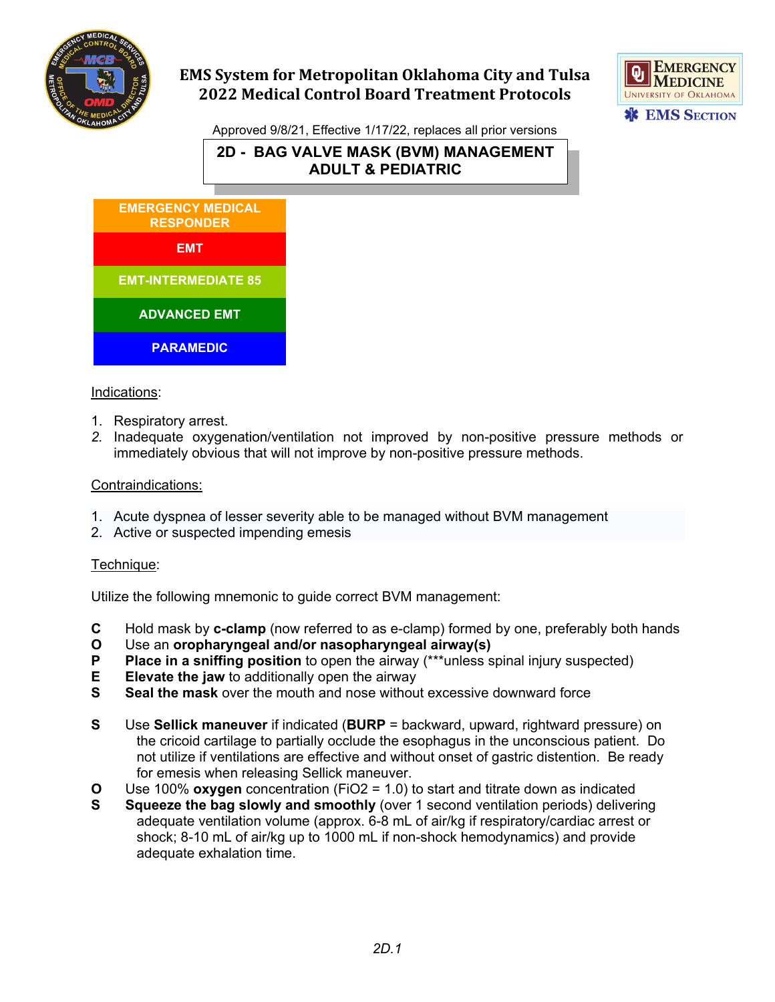

# **EMS System for Metropolitan Oklahoma City and Tulsa 2022 Medical Control Board Treatment Protocols**



Approved 9/8/21, Effective 1/17/22, replaces all prior versions

**2D - BAG VALVE MASK (BVM) MANAGEMENT ADULT & PEDIATRIC**



## Indications:

- 1. Respiratory arrest.
- *2.* Inadequate oxygenation/ventilation not improved by non-positive pressure methods or immediately obvious that will not improve by non-positive pressure methods.

## Contraindications:

- 1. Acute dyspnea of lesser severity able to be managed without BVM management
- 2. Active or suspected impending emesis

#### Technique:

Utilize the following mnemonic to guide correct BVM management:

- **C** Hold mask by **c-clamp** (now referred to as e-clamp) formed by one, preferably both hands
- **O** Use an **oropharyngeal and/or nasopharyngeal airway(s)**
- **P Place in a sniffing position** to open the airway (\*\*\*unless spinal injury suspected)<br>**E Elevate the jaw** to additionally open the airway
- **E Elevate the jaw** to additionally open the airway<br>**S Seal the mask** over the mouth and nose withou
- **S Seal the mask** over the mouth and nose without excessive downward force
- **S** Use **Sellick maneuver** if indicated (**BURP** = backward, upward, rightward pressure) on the cricoid cartilage to partially occlude the esophagus in the unconscious patient. Do not utilize if ventilations are effective and without onset of gastric distention. Be ready for emesis when releasing Sellick maneuver.
- **O** Use 100% **oxygen** concentration (FiO2 = 1.0) to start and titrate down as indicated
- **S Squeeze the bag slowly and smoothly** (over 1 second ventilation periods) delivering adequate ventilation volume (approx. 6-8 mL of air/kg if respiratory/cardiac arrest or shock; 8-10 mL of air/kg up to 1000 mL if non-shock hemodynamics) and provide adequate exhalation time.